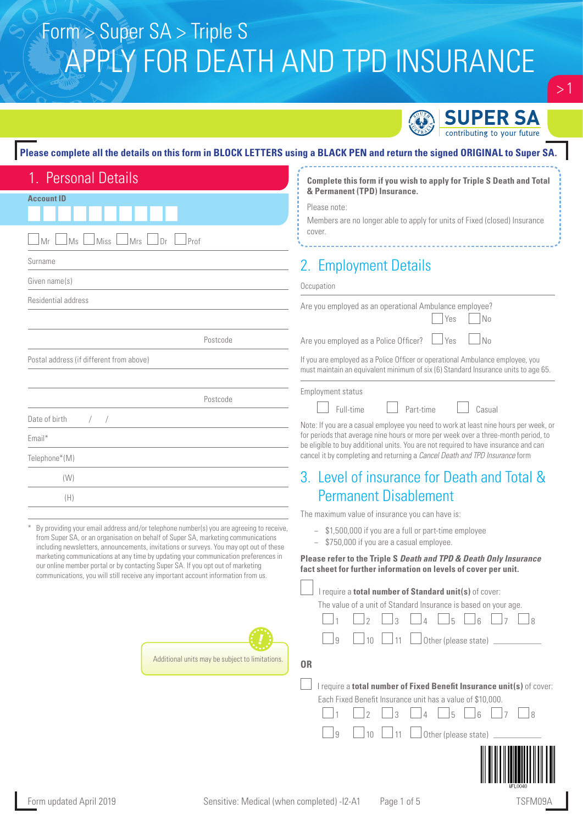

 $>1$ 

#### **Please complete all the details on this form in BLOCK LETTERS using a BLACK PEN and return the signed ORIGINAL to Super SA.**

| 1. Personal Details                                                                                                                                                                                                                                                    | Complete this form if you wish to apply for Triple S Death and Total                                                                                                      |
|------------------------------------------------------------------------------------------------------------------------------------------------------------------------------------------------------------------------------------------------------------------------|---------------------------------------------------------------------------------------------------------------------------------------------------------------------------|
| <b>Account ID</b>                                                                                                                                                                                                                                                      | & Permanent (TPD) Insurance.                                                                                                                                              |
|                                                                                                                                                                                                                                                                        | Please note:<br>Members are no longer able to apply for units of Fixed (closed) Insurance                                                                                 |
| $\Box$ Ms<br>$\bigcup$ Miss<br>Mrs<br>Dr<br>Prof<br>Mr                                                                                                                                                                                                                 | cover.                                                                                                                                                                    |
| Surname                                                                                                                                                                                                                                                                | 2. Employment Details                                                                                                                                                     |
| Given name(s)                                                                                                                                                                                                                                                          |                                                                                                                                                                           |
| Residential address                                                                                                                                                                                                                                                    | Occupation                                                                                                                                                                |
|                                                                                                                                                                                                                                                                        | Are you employed as an operational Ambulance employee?<br>No<br>Yes                                                                                                       |
| Postcode                                                                                                                                                                                                                                                               | N <sub>0</sub><br>Are you employed as a Police Officer?<br>Yes                                                                                                            |
| Postal address (if different from above)                                                                                                                                                                                                                               | If you are employed as a Police Officer or operational Ambulance employee, you<br>must maintain an equivalent minimum of six (6) Standard Insurance units to age 65.      |
|                                                                                                                                                                                                                                                                        | Employment status                                                                                                                                                         |
| Postcode                                                                                                                                                                                                                                                               | Full-time<br>Part-time<br>Casual                                                                                                                                          |
| Date of birth                                                                                                                                                                                                                                                          | Note: If you are a casual employee you need to work at least nine hours per week, or                                                                                      |
| Email*                                                                                                                                                                                                                                                                 | for periods that average nine hours or more per week over a three-month period, to<br>be eligible to buy additional units. You are not required to have insurance and can |
| Telephone*(M)                                                                                                                                                                                                                                                          | cancel it by completing and returning a Cancel Death and TPD Insurance form                                                                                               |
| (W)                                                                                                                                                                                                                                                                    | 3. Level of insurance for Death and Total &                                                                                                                               |
| (H)                                                                                                                                                                                                                                                                    | <b>Permanent Disablement</b>                                                                                                                                              |
|                                                                                                                                                                                                                                                                        | The maximum value of insurance you can have is:                                                                                                                           |
| By providing your email address and/or telephone number(s) you are agreeing to receive,<br>from Super SA, or an organisation on behalf of Super SA, marketing communications<br>including newsletters, announcements, invitations or surveys. You may opt out of these | - \$1,500,000 if you are a full or part-time employee<br>- \$750,000 if you are a casual employee.                                                                        |
| marketing communications at any time by updating your communication preferences in<br>our online member portal or by contacting Super SA. If you opt out of marketing<br>communications, you will still receive any important account information from us.             | Please refer to the Triple S Death and TPD & Death Only Insurance<br>fact sheet for further information on levels of cover per unit.                                      |
|                                                                                                                                                                                                                                                                        | I require a total number of Standard unit(s) of cover:                                                                                                                    |
|                                                                                                                                                                                                                                                                        | The value of a unit of Standard Insurance is based on your age.                                                                                                           |
|                                                                                                                                                                                                                                                                        | 5<br>8                                                                                                                                                                    |
|                                                                                                                                                                                                                                                                        | Other (please state)<br>9<br>10<br>11                                                                                                                                     |
| Additional units may be subject to limitations.                                                                                                                                                                                                                        | <b>OR</b>                                                                                                                                                                 |
|                                                                                                                                                                                                                                                                        |                                                                                                                                                                           |
|                                                                                                                                                                                                                                                                        | I require a total number of Fixed Benefit Insurance unit(s) of cover:<br>Each Fixed Benefit Insurance unit has a value of \$10,000.                                       |
|                                                                                                                                                                                                                                                                        | 5<br>$6\overline{6}$<br>8<br>3                                                                                                                                            |
|                                                                                                                                                                                                                                                                        | Other (please state) _<br>9<br>10                                                                                                                                         |
|                                                                                                                                                                                                                                                                        |                                                                                                                                                                           |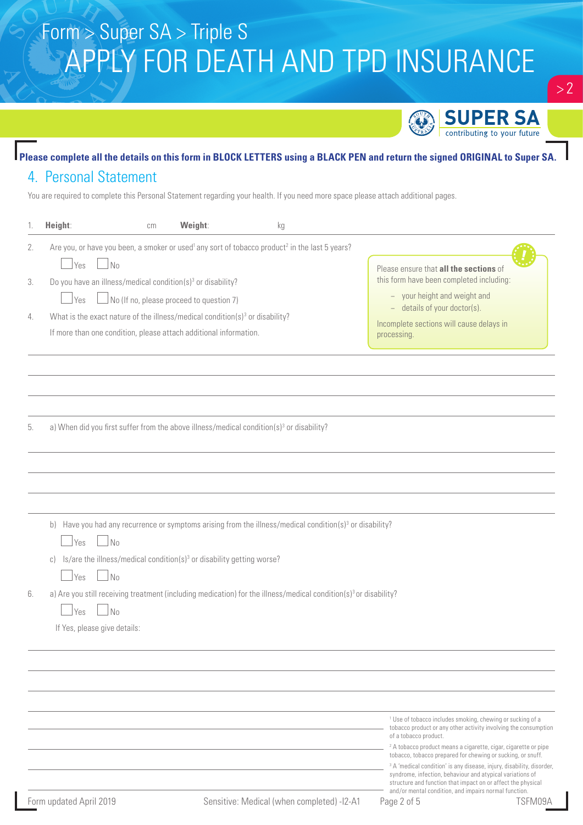

### **Please complete all the details on this form in BLOCK LETTERS using a BLACK PEN and return the signed ORIGINAL to Super SA.** 4. Personal Statement

You are required to complete this Personal Statement regarding your health. If you need more space please attach additional pages.

|    | Height:<br>cm                                                                                                                | Weight:                                  | kg                                         |                                                                                                                                                                                                                                                                        |
|----|------------------------------------------------------------------------------------------------------------------------------|------------------------------------------|--------------------------------------------|------------------------------------------------------------------------------------------------------------------------------------------------------------------------------------------------------------------------------------------------------------------------|
| 2. | Are you, or have you been, a smoker or used <sup>1</sup> any sort of tobacco product <sup>2</sup> in the last 5 years?       |                                          |                                            |                                                                                                                                                                                                                                                                        |
|    | Yes<br>No                                                                                                                    |                                          |                                            | Please ensure that all the sections of                                                                                                                                                                                                                                 |
| 3. | Do you have an illness/medical condition(s) <sup>3</sup> or disability?                                                      |                                          |                                            | this form have been completed including:                                                                                                                                                                                                                               |
|    | <b>Yes</b>                                                                                                                   | No (If no, please proceed to question 7) |                                            | - your height and weight and                                                                                                                                                                                                                                           |
| 4. | What is the exact nature of the illness/medical condition(s) <sup>3</sup> or disability?                                     |                                          |                                            | - details of your doctor(s).                                                                                                                                                                                                                                           |
|    | If more than one condition, please attach additional information.                                                            |                                          |                                            | Incomplete sections will cause delays in<br>processing.                                                                                                                                                                                                                |
|    |                                                                                                                              |                                          |                                            |                                                                                                                                                                                                                                                                        |
|    |                                                                                                                              |                                          |                                            |                                                                                                                                                                                                                                                                        |
| 5. | a) When did you first suffer from the above illness/medical condition(s) <sup>3</sup> or disability?                         |                                          |                                            |                                                                                                                                                                                                                                                                        |
|    |                                                                                                                              |                                          |                                            |                                                                                                                                                                                                                                                                        |
|    |                                                                                                                              |                                          |                                            |                                                                                                                                                                                                                                                                        |
|    | b) Have you had any recurrence or symptoms arising from the illness/medical condition( $s$ ) <sup>3</sup> or disability?     |                                          |                                            |                                                                                                                                                                                                                                                                        |
|    | No<br><i>Yes</i>                                                                                                             |                                          |                                            |                                                                                                                                                                                                                                                                        |
|    | c) Is/are the illness/medical condition(s) <sup>3</sup> or disability getting worse?                                         |                                          |                                            |                                                                                                                                                                                                                                                                        |
|    | N <sub>0</sub><br>  Yes                                                                                                      |                                          |                                            |                                                                                                                                                                                                                                                                        |
| 6. | a) Are you still receiving treatment (including medication) for the illness/medical condition(s) <sup>3</sup> or disability? |                                          |                                            |                                                                                                                                                                                                                                                                        |
|    | $\sqrt{N}$<br>Yes                                                                                                            |                                          |                                            |                                                                                                                                                                                                                                                                        |
|    | If Yes, please give details:                                                                                                 |                                          |                                            |                                                                                                                                                                                                                                                                        |
|    |                                                                                                                              |                                          |                                            |                                                                                                                                                                                                                                                                        |
|    |                                                                                                                              |                                          |                                            |                                                                                                                                                                                                                                                                        |
|    |                                                                                                                              |                                          |                                            |                                                                                                                                                                                                                                                                        |
|    |                                                                                                                              |                                          |                                            | <sup>1</sup> Use of tobacco includes smoking, chewing or sucking of a<br>tobacco product or any other activity involving the consumption<br>of a tobacco product.                                                                                                      |
|    |                                                                                                                              |                                          |                                            | <sup>2</sup> A tobacco product means a cigarette, cigar, cigarette or pipe<br>tobacco, tobacco prepared for chewing or sucking, or snuff.                                                                                                                              |
|    |                                                                                                                              |                                          |                                            | <sup>3</sup> A 'medical condition' is any disease, injury, disability, disorder,<br>syndrome, infection, behaviour and atypical variations of<br>structure and function that impact on or affect the physical<br>and/or mental condition, and impairs normal function. |
|    | Form updated April 2019                                                                                                      |                                          | Sensitive: Medical (when completed) -I2-A1 | TSFM09A<br>Page 2 of 5                                                                                                                                                                                                                                                 |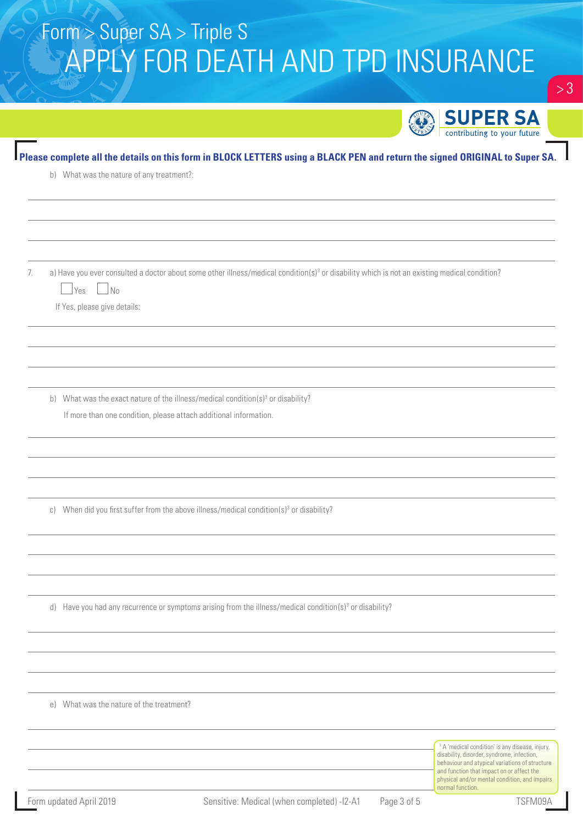|    |                                                                                                                                                          | contributing to your future                                                                                                                                                                             |
|----|----------------------------------------------------------------------------------------------------------------------------------------------------------|---------------------------------------------------------------------------------------------------------------------------------------------------------------------------------------------------------|
|    | Please complete all the details on this form in BLOCK LETTERS using a BLACK PEN and return the signed ORIGINAL to Super SA.                              |                                                                                                                                                                                                         |
|    | b) What was the nature of any treatment?:                                                                                                                |                                                                                                                                                                                                         |
|    |                                                                                                                                                          |                                                                                                                                                                                                         |
|    |                                                                                                                                                          |                                                                                                                                                                                                         |
|    |                                                                                                                                                          |                                                                                                                                                                                                         |
| 7. | a) Have you ever consulted a doctor about some other illness/medical condition(s) <sup>3</sup> or disability which is not an existing medical condition? |                                                                                                                                                                                                         |
|    | $\mathsf{N}\mathsf{o}$<br>Yes                                                                                                                            |                                                                                                                                                                                                         |
|    | If Yes, please give details:                                                                                                                             |                                                                                                                                                                                                         |
|    |                                                                                                                                                          |                                                                                                                                                                                                         |
|    |                                                                                                                                                          |                                                                                                                                                                                                         |
|    |                                                                                                                                                          |                                                                                                                                                                                                         |
|    | b) What was the exact nature of the illness/medical condition( $s$ ) <sup>3</sup> or disability?                                                         |                                                                                                                                                                                                         |
|    | If more than one condition, please attach additional information.                                                                                        |                                                                                                                                                                                                         |
|    |                                                                                                                                                          |                                                                                                                                                                                                         |
|    |                                                                                                                                                          |                                                                                                                                                                                                         |
|    |                                                                                                                                                          |                                                                                                                                                                                                         |
|    |                                                                                                                                                          |                                                                                                                                                                                                         |
|    | c) When did you first suffer from the above illness/medical condition(s) <sup>3</sup> or disability?                                                     |                                                                                                                                                                                                         |
|    |                                                                                                                                                          |                                                                                                                                                                                                         |
|    |                                                                                                                                                          |                                                                                                                                                                                                         |
|    |                                                                                                                                                          |                                                                                                                                                                                                         |
|    |                                                                                                                                                          |                                                                                                                                                                                                         |
|    | d) Have you had any recurrence or symptoms arising from the illness/medical condition(s) <sup>3</sup> or disability?                                     |                                                                                                                                                                                                         |
|    |                                                                                                                                                          |                                                                                                                                                                                                         |
|    |                                                                                                                                                          |                                                                                                                                                                                                         |
|    |                                                                                                                                                          |                                                                                                                                                                                                         |
|    |                                                                                                                                                          |                                                                                                                                                                                                         |
|    | e) What was the nature of the treatment?                                                                                                                 |                                                                                                                                                                                                         |
|    |                                                                                                                                                          |                                                                                                                                                                                                         |
|    |                                                                                                                                                          | <sup>3</sup> A 'medical condition' is any disease, injury,<br>disability, disorder, syndrome, infection,<br>behaviour and atypical variations of structure<br>and function that impact on or affect the |
|    |                                                                                                                                                          | physical and/or mental condition, and impairs<br>normal function.                                                                                                                                       |

 $> 3$ 

**AN SHPER SA**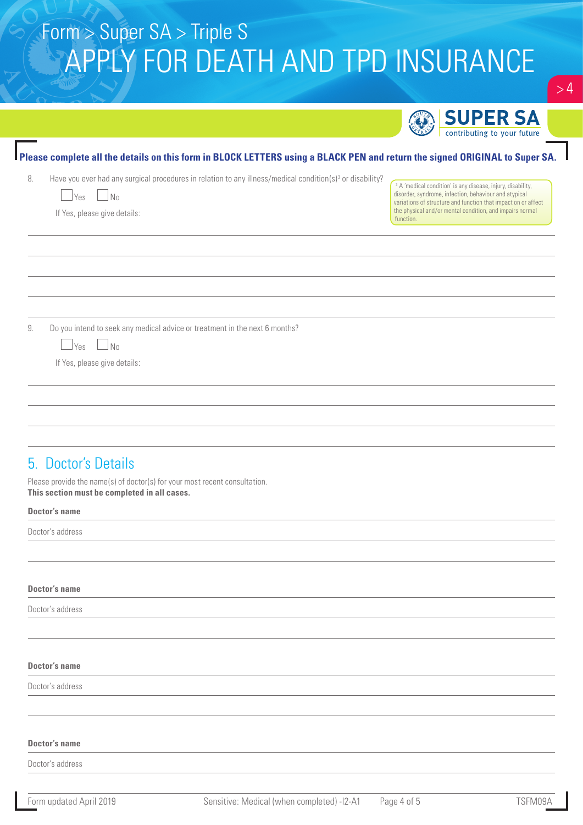|                                                                                                                                                                                                                                                            | <b>SUPER SA</b>                                                                                                                                                                                                                                                           |
|------------------------------------------------------------------------------------------------------------------------------------------------------------------------------------------------------------------------------------------------------------|---------------------------------------------------------------------------------------------------------------------------------------------------------------------------------------------------------------------------------------------------------------------------|
|                                                                                                                                                                                                                                                            | contributing to your future                                                                                                                                                                                                                                               |
| Please complete all the details on this form in BLOCK LETTERS using a BLACK PEN and return the signed ORIGINAL to Super SA.<br>Have you ever had any surgical procedures in relation to any illness/medical condition(s) <sup>3</sup> or disability?<br>8. |                                                                                                                                                                                                                                                                           |
| $\vert$ Yes $\Box$ No<br>$\sim$<br>If Yes, please give details:                                                                                                                                                                                            | <sup>3</sup> A 'medical condition' is any disease, injury, disability,<br>disorder, syndrome, infection, behaviour and atypical<br>variations of structure and function that impact on or affect<br>the physical and/or mental condition, and impairs normal<br>function. |
|                                                                                                                                                                                                                                                            |                                                                                                                                                                                                                                                                           |
|                                                                                                                                                                                                                                                            |                                                                                                                                                                                                                                                                           |
| Do you intend to seek any medical advice or treatment in the next 6 months?<br>9.<br>No<br>Yes<br>$\overline{\phantom{a}}$<br>If Yes, please give details:                                                                                                 |                                                                                                                                                                                                                                                                           |
|                                                                                                                                                                                                                                                            |                                                                                                                                                                                                                                                                           |
|                                                                                                                                                                                                                                                            |                                                                                                                                                                                                                                                                           |
| 5. Doctor's Details<br>Please provide the name(s) of doctor(s) for your most recent consultation.<br>This section must be completed in all cases.                                                                                                          |                                                                                                                                                                                                                                                                           |
| <b>Doctor's name</b>                                                                                                                                                                                                                                       |                                                                                                                                                                                                                                                                           |
| Doctor's address                                                                                                                                                                                                                                           |                                                                                                                                                                                                                                                                           |
| <b>Doctor's name</b>                                                                                                                                                                                                                                       |                                                                                                                                                                                                                                                                           |
| Doctor's address                                                                                                                                                                                                                                           |                                                                                                                                                                                                                                                                           |
| <b>Doctor's name</b>                                                                                                                                                                                                                                       |                                                                                                                                                                                                                                                                           |
| Doctor's address                                                                                                                                                                                                                                           |                                                                                                                                                                                                                                                                           |
| <b>Doctor's name</b>                                                                                                                                                                                                                                       |                                                                                                                                                                                                                                                                           |
| Doctor's address                                                                                                                                                                                                                                           |                                                                                                                                                                                                                                                                           |